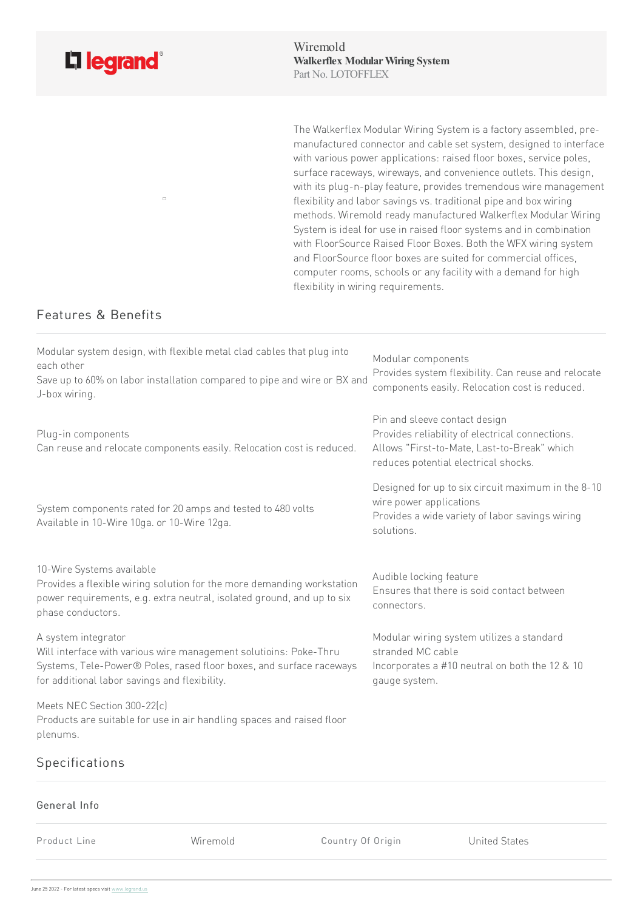

 $\overline{a}$ 

Wiremold **Walkerflex ModularWiring System** Part No. LOTOFFLEX

The Walkerflex Modular Wiring System is a factory assembled, premanufactured connector and cable set system, designed to interface with various power applications: raised floor boxes, service poles, surface raceways, wireways, and convenience outlets. This design, with its plug-n-play feature, provides tremendous wire management flexibility and labor savings vs. traditional pipe and box wiring methods. Wiremold ready manufactured Walkerflex Modular Wiring System is ideal for use in raised floor systems and in combination with FloorSource Raised Floor Boxes. Both the WFX wiring system and FloorSource floor boxes are suited for commercial offices, computer rooms, schools or any facility with a demand for high flexibility in wiring requirements.

## Features & Benefits

| Modular system design, with flexible metal clad cables that plug into<br>each other<br>Save up to 60% on labor installation compared to pipe and wire or BX and<br>J-box wiring.                                 | Modular components<br>Provides system flexibility. Can reuse and relocate<br>components easily. Relocation cost is reduced.                                             |
|------------------------------------------------------------------------------------------------------------------------------------------------------------------------------------------------------------------|-------------------------------------------------------------------------------------------------------------------------------------------------------------------------|
| Plug-in components<br>Can reuse and relocate components easily. Relocation cost is reduced.                                                                                                                      | Pin and sleeve contact design<br>Provides reliability of electrical connections.<br>Allows "First-to-Mate, Last-to-Break" which<br>reduces potential electrical shocks. |
| System components rated for 20 amps and tested to 480 volts<br>Available in 10-Wire 10ga. or 10-Wire 12ga.                                                                                                       | Designed for up to six circuit maximum in the 8-10<br>wire power applications<br>Provides a wide variety of labor savings wiring<br>solutions.                          |
| 10-Wire Systems available<br>Provides a flexible wiring solution for the more demanding workstation<br>power requirements, e.g. extra neutral, isolated ground, and up to six<br>phase conductors.               | Audible locking feature<br>Ensures that there is soid contact between<br>connectors.                                                                                    |
| A system integrator<br>Will interface with various wire management solutioins: Poke-Thru<br>Systems, Tele-Power® Poles, rased floor boxes, and surface raceways<br>for additional labor savings and flexibility. | Modular wiring system utilizes a standard<br>stranded MC cable<br>Incorporates a #10 neutral on both the 12 & 10<br>gauge system.                                       |
| Meets NEC Section 300-22(c)<br>Products are suitable for use in air handling spaces and raised floor<br>plenums.                                                                                                 |                                                                                                                                                                         |
| Specifications                                                                                                                                                                                                   |                                                                                                                                                                         |

## General Info Product Line **Wiremold** Wiremold Country Of Origin United States